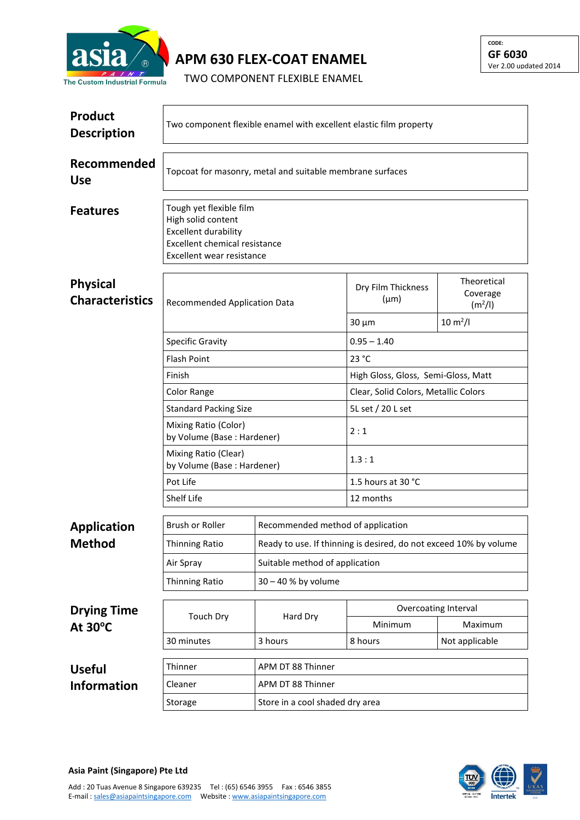

**APM 630 FLEX-COAT ENAMEL**

TWO COMPONENT FLEXIBLE ENAMEL

| <b>Product</b><br><b>Description</b>      | Two component flexible enamel with excellent elastic film property                                                                         |                                   |                                                                   |                                                |  |  |
|-------------------------------------------|--------------------------------------------------------------------------------------------------------------------------------------------|-----------------------------------|-------------------------------------------------------------------|------------------------------------------------|--|--|
| Recommended<br><b>Use</b>                 | Topcoat for masonry, metal and suitable membrane surfaces                                                                                  |                                   |                                                                   |                                                |  |  |
| <b>Features</b>                           | Tough yet flexible film<br>High solid content<br><b>Excellent durability</b><br>Excellent chemical resistance<br>Excellent wear resistance |                                   |                                                                   |                                                |  |  |
| <b>Physical</b><br><b>Characteristics</b> | Recommended Application Data                                                                                                               |                                   | Dry Film Thickness<br>$(\mu m)$                                   | Theoretical<br>Coverage<br>(m <sup>2</sup> /I) |  |  |
|                                           |                                                                                                                                            |                                   | $30 \mu m$                                                        | $10 \, \text{m}^2$ /l                          |  |  |
|                                           | <b>Specific Gravity</b>                                                                                                                    |                                   | $0.95 - 1.40$                                                     |                                                |  |  |
|                                           | <b>Flash Point</b>                                                                                                                         |                                   | 23 °C                                                             |                                                |  |  |
|                                           | Finish                                                                                                                                     |                                   | High Gloss, Gloss, Semi-Gloss, Matt                               |                                                |  |  |
|                                           | Color Range                                                                                                                                |                                   | Clear, Solid Colors, Metallic Colors                              |                                                |  |  |
|                                           | <b>Standard Packing Size</b>                                                                                                               |                                   | 5L set / 20 L set                                                 |                                                |  |  |
|                                           | Mixing Ratio (Color)<br>by Volume (Base: Hardener)                                                                                         |                                   | 2:1                                                               |                                                |  |  |
|                                           | Mixing Ratio (Clear)<br>by Volume (Base: Hardener)                                                                                         |                                   | 1.3:1                                                             |                                                |  |  |
|                                           | Pot Life                                                                                                                                   |                                   | 1.5 hours at 30 °C                                                |                                                |  |  |
|                                           | Shelf Life                                                                                                                                 |                                   | 12 months                                                         |                                                |  |  |
| <b>Application</b>                        | Brush or Roller                                                                                                                            | Recommended method of application |                                                                   |                                                |  |  |
| <b>Method</b>                             | Thinning Ratio                                                                                                                             |                                   | Ready to use. If thinning is desired, do not exceed 10% by volume |                                                |  |  |
|                                           | Air Spray                                                                                                                                  | Suitable method of application    |                                                                   |                                                |  |  |
|                                           | <b>Thinning Ratio</b>                                                                                                                      | 30 - 40 % by volume               |                                                                   |                                                |  |  |
|                                           | <b>Touch Dry</b>                                                                                                                           | Hard Dry                          | Overcoating Interval                                              |                                                |  |  |
| <b>Drying Time</b><br>At $30^{\circ}$ C   |                                                                                                                                            |                                   | Minimum                                                           | Maximum                                        |  |  |
|                                           | 30 minutes                                                                                                                                 | 3 hours                           | 8 hours                                                           | Not applicable                                 |  |  |
| <b>Useful</b>                             | Thinner                                                                                                                                    | APM DT 88 Thinner                 |                                                                   |                                                |  |  |
| <b>Information</b>                        | Cleaner                                                                                                                                    | APM DT 88 Thinner                 |                                                                   |                                                |  |  |
|                                           | Storage                                                                                                                                    | Store in a cool shaded dry area   |                                                                   |                                                |  |  |



**CODE: GF 6030**

Ver 2.00 updated 2014